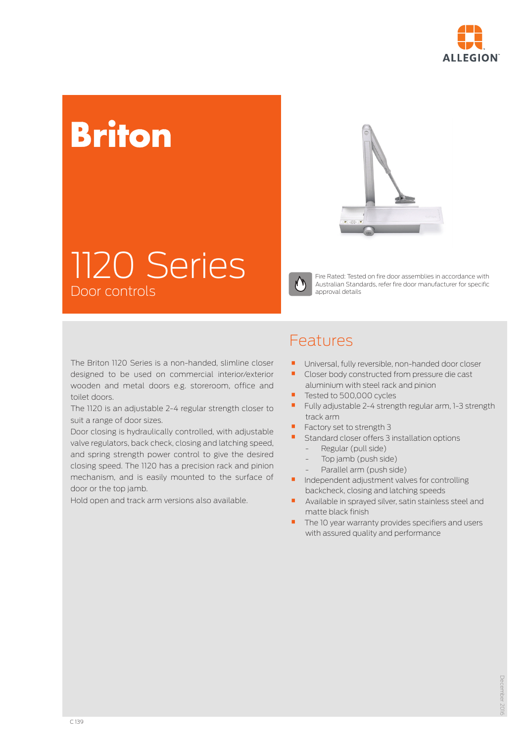

# **Briton**



## 1120 Series Door controls



Fire Rated: Tested on fire door assemblies in accordance with Australian Standards, refer fire door manufacturer for specific approval details

The Briton 1120 Series is a non-handed, slimline closer designed to be used on commercial interior/exterior wooden and metal doors e.g. storeroom, office and toilet doors.

The 1120 is an adjustable 2-4 regular strength closer to suit a range of door sizes.

Door closing is hydraulically controlled, with adjustable valve regulators, back check, closing and latching speed, and spring strength power control to give the desired closing speed. The 1120 has a precision rack and pinion mechanism, and is easily mounted to the surface of door or the top jamb.

Hold open and track arm versions also available.

### Features

- $\blacksquare$  Universal, fully reversible, non-handed door closer<br> $\blacksquare$  Closer body constructed from pressure die cast
- Closer body constructed from pressure die cast aluminium with steel rack and pinion
- Tested to 500,000 cycles
- Fully adjustable 2-4 strength regular arm, 1-3 strength track arm
- Factory set to strength 3
- Standard closer offers 3 installation options
	- Regular (pull side)
	- Top jamb (push side)
	- Parallel arm (push side)
- **•** Independent adjustment valves for controlling backcheck, closing and latching speeds
- Available in sprayed silver, satin stainless steel and matte black finish
- The 10 year warranty provides specifiers and users with assured quality and performance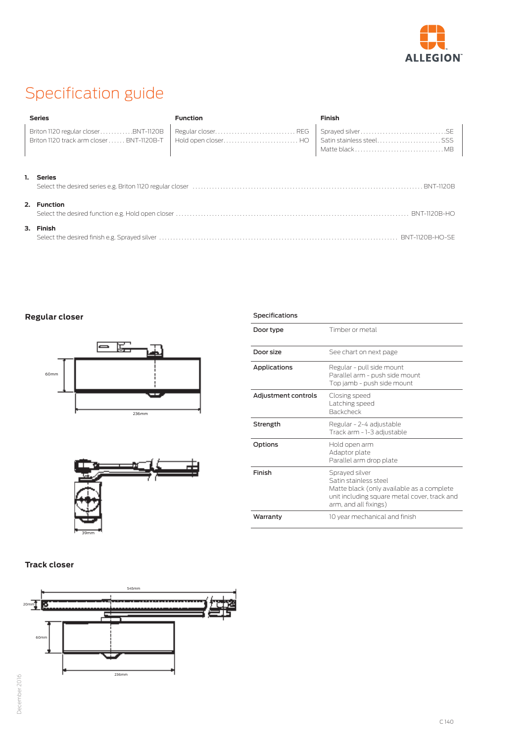

### Specification guide

| <b>Series</b>                       | <b>Function</b>                                                                        | <b>Finish</b>                              |
|-------------------------------------|----------------------------------------------------------------------------------------|--------------------------------------------|
| Briton 1120 regular closerBNT-1120B | Regular closer REG<br>Briton 1120 track arm closer  BNT-1120B-T   Hold open closer  HO | Satin stainless steelSSS<br>Matte black MB |
| <b>Series</b>                       |                                                                                        |                                            |

### **2. Function**

| 3. Finish |                 |
|-----------|-----------------|
|           | BNT-1120B-HO-SE |

Specifications

#### **Regular closer**





| Door type           | Timber or metal                                                                                                                                               |
|---------------------|---------------------------------------------------------------------------------------------------------------------------------------------------------------|
| Door size           | See chart on next page                                                                                                                                        |
| Applications        | Regular - pull side mount<br>Parallel arm - push side mount<br>Top jamb - push side mount                                                                     |
| Adjustment controls | Closing speed<br>Latching speed<br><b>Backcheck</b>                                                                                                           |
| Strength            | Regular - 2-4 adjustable<br>Track arm - 1-3 adjustable                                                                                                        |
| Options             | Hold open arm<br>Adaptor plate<br>Parallel arm drop plate                                                                                                     |
| Finish              | Sprayed silver<br>Satin stainless steel<br>Matte black (only available as a complete<br>unit including square metal cover, track and<br>arm, and all fixings) |
| Warranty            | 10 year mechanical and finish                                                                                                                                 |

#### **Track closer**

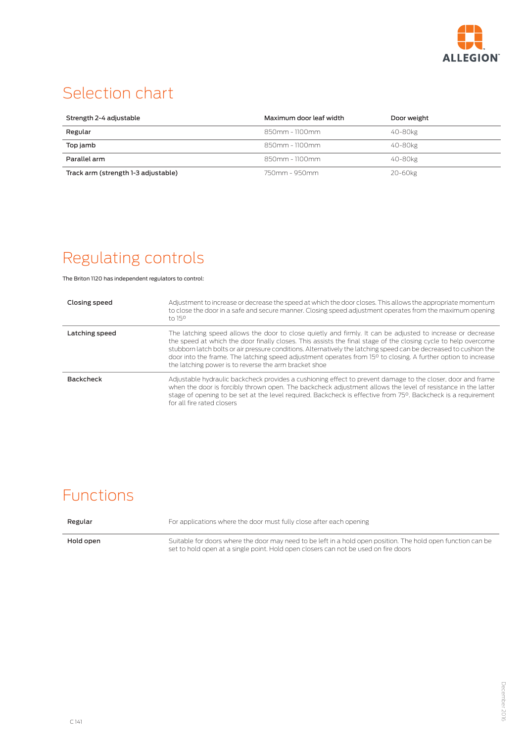

### Selection chart

| Strength 2-4 adjustable             | Maximum door leaf width | Door weight |
|-------------------------------------|-------------------------|-------------|
| Regular                             | $850$ mm - 1100mm       | 40-80kg     |
| Top jamb                            | $850$ mm - 1100mm       | 40-80kg     |
| Parallel arm                        | $850$ mm - 1100mm       | 40-80kg     |
| Track arm (strength 1-3 adjustable) | 750mm - 950mm           | 20-60kg     |

### Regulating controls

The Briton 1120 has independent regulators to control:

| Closing speed    | Adjustment to increase or decrease the speed at which the door closes. This allows the appropriate momentum<br>to close the door in a safe and secure manner. Closing speed adjustment operates from the maximum opening<br>to $15^\circ$                                                                                                                                                                                                                                                                                               |
|------------------|-----------------------------------------------------------------------------------------------------------------------------------------------------------------------------------------------------------------------------------------------------------------------------------------------------------------------------------------------------------------------------------------------------------------------------------------------------------------------------------------------------------------------------------------|
| Latching speed   | The latching speed allows the door to close quietly and firmly. It can be adjusted to increase or decrease<br>the speed at which the door finally closes. This assists the final stage of the closing cycle to help overcome<br>stubborn latch bolts or air pressure conditions. Alternatively the latching speed can be decreased to cushion the<br>door into the frame. The latching speed adjustment operates from 15 <sup>o</sup> to closing. A further option to increase<br>the latching power is to reverse the arm bracket shoe |
| <b>Backcheck</b> | Adjustable hydraulic backcheck provides a cushioning effect to prevent damage to the closer, door and frame<br>when the door is forcibly thrown open. The backcheck adjustment allows the level of resistance in the latter<br>stage of opening to be set at the level required. Backcheck is effective from 750. Backcheck is a requirement<br>for all fire rated closers                                                                                                                                                              |

### Functions

| Regular   | For applications where the door must fully close after each opening                                                                                                                                 |
|-----------|-----------------------------------------------------------------------------------------------------------------------------------------------------------------------------------------------------|
| Hold open | Suitable for doors where the door may need to be left in a hold open position. The hold open function can be<br>set to hold open at a single point. Hold open closers can not be used on fire doors |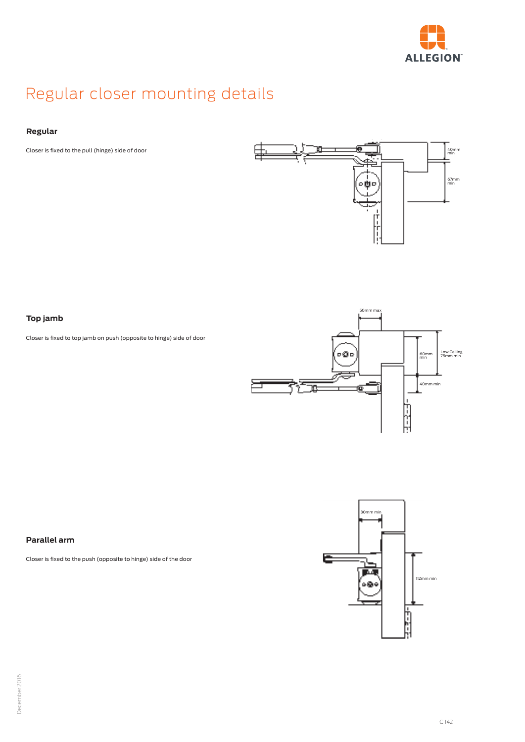

### Regular closer mounting details

#### **Regular**

Closer is fixed to the pull (hinge) side of door



#### **Top jamb**

Closer is fixed to top jamb on push (opposite to hinge) side of door



#### **Parallel arm**

Closer is fixed to the push (opposite to hinge) side of the door

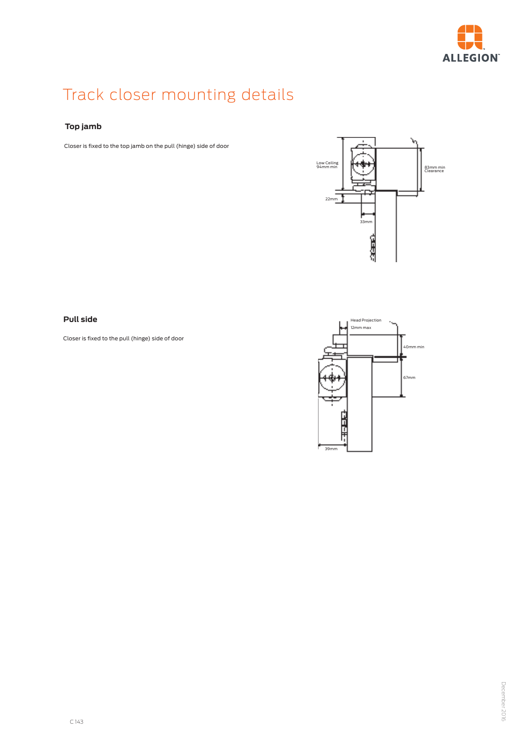

### Track closer mounting details

#### **Top jamb**

Closer is fixed to the top jamb on the pull (hinge) side of door



#### **Pull side**

Closer is fixed to the pull (hinge) side of door